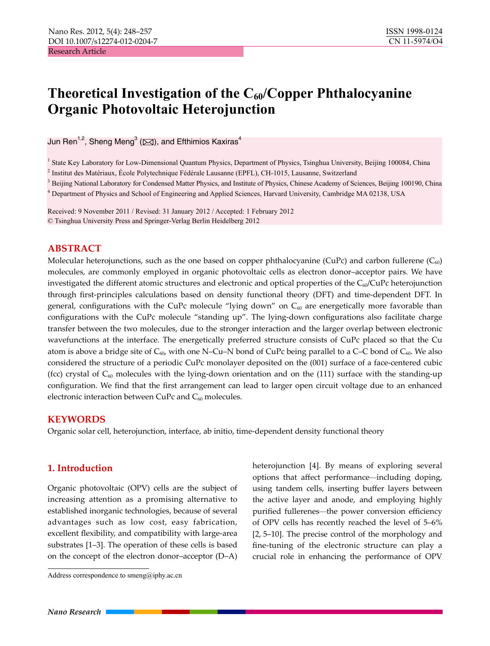# **Theoretical Investigation of the C<sub>60</sub>/Copper Phthalocyanine Organic Photovoltaic Heterojunction**

Jun Ren $^{1,2}$ , Sheng Meng $^3$  ( $\boxtimes$ ), and Efthimios Kaxiras $^4$ 

<sup>1</sup> State Key Laboratory for Low-Dimensional Quantum Physics, Department of Physics, Tsinghua University, Beijing 100084, China 2 Institut des Matériaux, École Polytechnique Fédérale Lausanne (EPFL), CH-1015, Lausanne, Switzerland

<sup>3</sup> Beijing National Laboratory for Condensed Matter Physics, and Institute of Physics, Chinese Academy of Sciences, Beijing 100190, China

4 Department of Physics and School of Engineering and Applied Sciences, Harvard University, Cambridge MA 02138, USA

Received: 9 November 2011 / Revised: 31 January 2012 / Accepted: 1 February 2012 © Tsinghua University Press and Springer-Verlag Berlin Heidelberg 2012

# **ABSTRACT**

Molecular heterojunctions, such as the one based on copper phthalocyanine (CuPc) and carbon fullerene ( $C_{60}$ ) molecules, are commonly employed in organic photovoltaic cells as electron donor–acceptor pairs. We have investigated the different atomic structures and electronic and optical properties of the  $C_{60}/C_{u}P_{c}$  heterojunction through first-principles calculations based on density functional theory (DFT) and time-dependent DFT. In general, configurations with the CuPc molecule "lying down" on  $C_{60}$  are energetically more favorable than configurations with the CuPc molecule "standing up". The lying-down configurations also facilitate charge transfer between the two molecules, due to the stronger interaction and the larger overlap between electronic wavefunctions at the interface. The energetically preferred structure consists of CuPc placed so that the Cu atom is above a bridge site of  $C_{60}$ , with one N–Cu–N bond of CuPc being parallel to a C–C bond of  $C_{60}$ . We also considered the structure of a periodic CuPc monolayer deposited on the (001) surface of a face-centered cubic (fcc) crystal of  $C_{60}$  molecules with the lying-down orientation and on the (111) surface with the standing-up configuration. We find that the first arrangement can lead to larger open circuit voltage due to an enhanced electronic interaction between CuPc and  $C_{60}$  molecules.

# **KEYWORDS**

Organic solar cell, heterojunction, interface, ab initio, time-dependent density functional theory

# **1. Introduction**

Organic photovoltaic (OPV) cells are the subject of increasing attention as a promising alternative to established inorganic technologies, because of several advantages such as low cost, easy fabrication, excellent flexibility, and compatibility with large-area substrates [1–3]. The operation of these cells is based on the concept of the electron donor–acceptor (D–A)

heterojunction [4]. By means of exploring several options that affect performance—including doping, using tandem cells, inserting buffer layers between the active layer and anode, and employing highly purified fullerenes—the power conversion efficiency of OPV cells has recently reached the level of 5–6% [2, 5–10]. The precise control of the morphology and fine-tuning of the electronic structure can play a crucial role in enhancing the performance of OPV

Address correspondence to smeng@iphy.ac.cn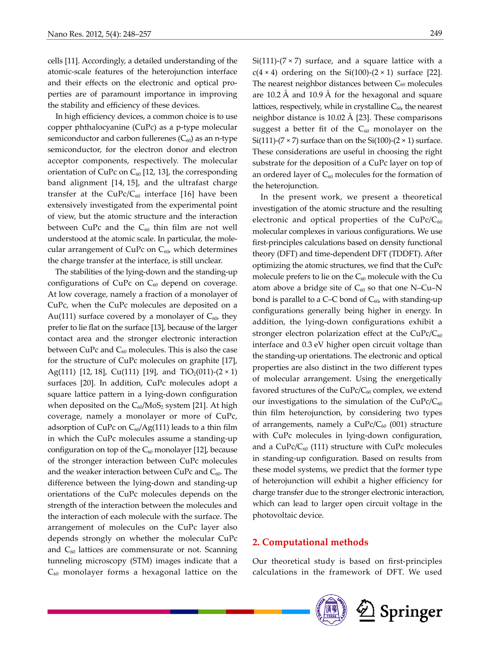cells [11]. Accordingly, a detailed understanding of the atomic-scale features of the heterojunction interface and their effects on the electronic and optical properties are of paramount importance in improving the stability and efficiency of these devices.

In high efficiency devices, a common choice is to use copper phthalocyanine (CuPc) as a p-type molecular semiconductor and carbon fullerenes  $(C_{60})$  as an n-type semiconductor, for the electron donor and electron acceptor components, respectively. The molecular orientation of CuPc on  $C_{60}$  [12, 13], the corresponding band alignment [14, 15], and the ultrafast charge transfer at the  $CuPc/C_{60}$  interface [16] have been extensively investigated from the experimental point of view, but the atomic structure and the interaction between CuPc and the  $C_{60}$  thin film are not well understood at the atomic scale. In particular, the molecular arrangement of CuPc on  $C_{60}$ , which determines the charge transfer at the interface, is still unclear.

The stabilities of the lying-down and the standing-up configurations of CuPc on  $C_{60}$  depend on coverage. At low coverage, namely a fraction of a monolayer of CuPc, when the CuPc molecules are deposited on a Au(111) surface covered by a monolayer of  $C_{60}$ , they prefer to lie flat on the surface [13], because of the larger contact area and the stronger electronic interaction between CuPc and  $C_{60}$  molecules. This is also the case for the structure of CuPc molecules on graphite [17], Ag(111) [12, 18], Cu(111) [19], and TiO<sub>2</sub>(011)-(2  $\times$  1) surfaces [20]. In addition, CuPc molecules adopt a square lattice pattern in a lying-down configuration when deposited on the  $C_{60}/M_0S_2$  system [21]. At high coverage, namely a monolayer or more of CuPc, adsorption of CuPc on  $C_{60}/Ag(111)$  leads to a thin film in which the CuPc molecules assume a standing-up configuration on top of the  $C_{60}$  monolayer [12], because of the stronger interaction between CuPc molecules and the weaker interaction between CuPc and  $C_{60}$ . The difference between the lying-down and standing-up orientations of the CuPc molecules depends on the strength of the interaction between the molecules and the interaction of each molecule with the surface. The arrangement of molecules on the CuPc layer also depends strongly on whether the molecular CuPc and  $C_{60}$  lattices are commensurate or not. Scanning tunneling microscopy (STM) images indicate that a  $C_{60}$  monolayer forms a hexagonal lattice on the

Si(111)-( $7 \times 7$ ) surface, and a square lattice with a  $c(4 \times 4)$  ordering on the Si(100)-(2  $\times$  1) surface [22]. The nearest neighbor distances between C<sub>60</sub> molecules are 10.2 Å and 10.9 Å for the hexagonal and square lattices, respectively, while in crystalline  $C_{60}$ , the nearest neighbor distance is 10.02 Å [23]. These comparisons suggest a better fit of the  $C_{60}$  monolayer on the Si(111)-(7  $\times$  7) surface than on the Si(100)-(2  $\times$  1) surface. These considerations are useful in choosing the right substrate for the deposition of a CuPc layer on top of an ordered layer of  $C_{60}$  molecules for the formation of the heterojunction.

In the present work, we present a theoretical investigation of the atomic structure and the resulting electronic and optical properties of the  $CuPc/C_{60}$ molecular complexes in various configurations. We use first-principles calculations based on density functional theory (DFT) and time-dependent DFT (TDDFT). After optimizing the atomic structures, we find that the CuPc molecule prefers to lie on the  $C_{60}$  molecule with the Cu atom above a bridge site of  $C_{60}$  so that one N–Cu–N bond is parallel to a C–C bond of  $C_{60}$ , with standing-up configurations generally being higher in energy. In addition, the lying-down configurations exhibit a stronger electron polarization effect at the  $CuPc/C<sub>60</sub>$ interface and 0.3 eV higher open circuit voltage than the standing-up orientations. The electronic and optical properties are also distinct in the two different types of molecular arrangement. Using the energetically favored structures of the  $CuPc/C_{60}$  complex, we extend our investigations to the simulation of the  $CuPc/C<sub>60</sub>$ thin film heterojunction, by considering two types of arrangements, namely a  $CuPc/C_{60}$  (001) structure with CuPc molecules in lying-down configuration, and a  $CuPc/C_{60}$  (111) structure with CuPc molecules in standing-up configuration. Based on results from these model systems, we predict that the former type of heterojunction will exhibit a higher efficiency for charge transfer due to the stronger electronic interaction, which can lead to larger open circuit voltage in the photovoltaic device.

#### **2. Computational methods**

Our theoretical study is based on first-principles calculations in the framework of DFT. We used

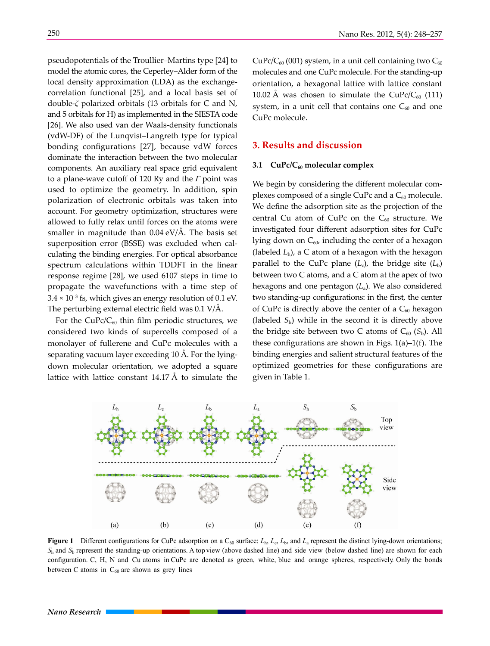pseudopotentials of the Troullier–Martins type [24] to model the atomic cores, the Ceperley–Alder form of the local density approximation (LDA) as the exchangecorrelation functional [25], and a local basis set of double-*ζ* polarized orbitals (13 orbitals for C and N, and 5 orbitals for H) as implemented in the SIESTA code [26]. We also used van der Waals-density functionals (vdW-DF) of the Lunqvist–Langreth type for typical bonding configurations [27], because vdW forces dominate the interaction between the two molecular components. An auxiliary real space grid equivalent to a plane-wave cutoff of 120 Ry and the *Γ* point was used to optimize the geometry. In addition, spin polarization of electronic orbitals was taken into account. For geometry optimization, structures were allowed to fully relax until forces on the atoms were smaller in magnitude than 0.04 eV/Å. The basis set superposition error (BSSE) was excluded when calculating the binding energies. For optical absorbance spectrum calculations within TDDFT in the linear response regime [28], we used 6107 steps in time to propagate the wavefunctions with a time step of  $3.4 \times 10^{-3}$  fs, which gives an energy resolution of 0.1 eV. The perturbing external electric field was 0.1 V/Å.

For the  $CuPc/C_{60}$  thin film periodic structures, we considered two kinds of supercells composed of a monolayer of fullerene and CuPc molecules with a separating vacuum layer exceeding 10 Å. For the lyingdown molecular orientation, we adopted a square lattice with lattice constant  $14.17 \text{ Å}$  to simulate the  $CuPc/C_{60}$  (001) system, in a unit cell containing two  $C_{60}$ molecules and one CuPc molecule. For the standing-up orientation, a hexagonal lattice with lattice constant 10.02 Å was chosen to simulate the CuPc/C<sub>60</sub> (111) system, in a unit cell that contains one  $C_{60}$  and one CuPc molecule.

## **3. Results and discussion**

#### **3.1 CuPc/C<sub>60</sub> molecular complex**

We begin by considering the different molecular complexes composed of a single CuPc and a  $C_{60}$  molecule. We define the adsorption site as the projection of the central Cu atom of CuPc on the  $C_{60}$  structure. We investigated four different adsorption sites for CuPc lying down on  $C_{60}$ , including the center of a hexagon (labeled *L*h), a C atom of a hexagon with the hexagon parallel to the CuPc plane  $(L_c)$ , the bridge site  $(L_b)$ between two C atoms, and a C atom at the apex of two hexagons and one pentagon (*L*a). We also considered two standing-up configurations: in the first, the center of CuPc is directly above the center of a  $C_{60}$  hexagon (labeled  $S_h$ ) while in the second it is directly above the bridge site between two C atoms of  $C_{60}$  ( $S_b$ ). All these configurations are shown in Figs. 1(a)–1(f). The binding energies and salient structural features of the optimized geometries for these configurations are given in Table 1.



Figure 1 Different configurations for CuPc adsorption on a C<sub>60</sub> surface:  $L<sub>h</sub>$ ,  $L<sub>c</sub>$ ,  $L<sub>b</sub>$ , and  $L<sub>a</sub>$  represent the distinct lying-down orientations;  $S_h$  and  $S_h$  represent the standing-up orientations. A top view (above dashed line) and side view (below dashed line) are shown for each configuration. C, H, N and Cu atoms in CuPc are denoted as green, white, blue and orange spheres, respectively. Only the bonds between C atoms in  $C_{60}$  are shown as grey lines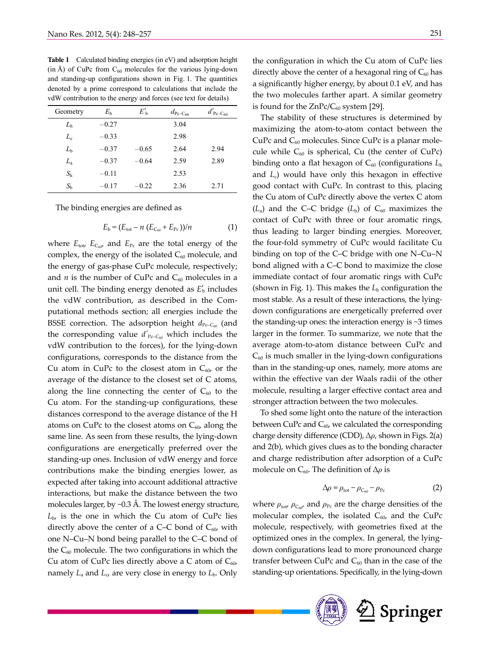| vdW contribution to the energy and forces (see text for details) |             |              |                        |                         |  |  |  |  |
|------------------------------------------------------------------|-------------|--------------|------------------------|-------------------------|--|--|--|--|
| Geometry                                                         | $E_{\rm h}$ | $E'_{\rm b}$ | $d_{\text{Pc-C}_{60}}$ | $d'_{\text{Pc-C}_{60}}$ |  |  |  |  |
| L <sub>h</sub>                                                   | $-0.27$     |              | 3.04                   |                         |  |  |  |  |
| $L_{\rm c}$                                                      | $-0.33$     |              | 2.98                   |                         |  |  |  |  |
| $L_{\rm b}$                                                      | $-0.37$     | $-0.65$      | 2.64                   | 2.94                    |  |  |  |  |
| $L_{\rm a}$                                                      | $-0.37$     | $-0.64$      | 2.59                   | 2.89                    |  |  |  |  |
| $S_{\rm h}$                                                      | $-0.11$     |              | 2.53                   |                         |  |  |  |  |
| $S_{\rm h}$                                                      | $-0.17$     | $-0.22$      | 2.36                   | 2.71                    |  |  |  |  |

**Table 1** Calculated binding energies (in eV) and adsorption height (in Å) of CuPc from  $C_{60}$  molecules for the various lying-down and standing-up configurations shown in Fig. 1. The quantities denoted by a prime correspond to calculations that include the vdW contribution to the energy and forces (see text for details)

The binding energies are defined as

$$
E_{\rm b} = (E_{\rm tot} - n (E_{C_{60}} + E_{\rm Pc})) / n \tag{1}
$$

where  $E_{\text{tot}}$ ,  $E_{C_{60}}$  and  $E_{\text{Pc}}$  are the total energy of the complex, the energy of the isolated  $C_{60}$  molecule, and the energy of gas-phase CuPc molecule, respectively; and  $n$  is the number of CuPc and  $C_{60}$  molecules in a unit cell. The binding energy denoted as  $E'_{\rm b}$  includes the vdW contribution, as described in the Computational methods section; all energies include the BSSE correction. The adsorption height  $d_{Pc-C_{60}}$  (and the corresponding value  $d'_{\text{Pc-C60}}$  which includes the vdW contribution to the forces), for the lying-down configurations, corresponds to the distance from the Cu atom in CuPc to the closest atom in  $C_{60}$ , or the average of the distance to the closest set of C atoms, along the line connecting the center of  $C_{60}$  to the Cu atom. For the standing-up configurations, these distances correspond to the average distance of the H atoms on CuPc to the closest atoms on  $C_{60}$ , along the same line. As seen from these results, the lying-down configurations are energetically preferred over the standing-up ones. Inclusion of vdW energy and force contributions make the binding energies lower, as expected after taking into account additional attractive interactions, but make the distance between the two molecules larger, by ~0.3 Å. The lowest energy structure,  $L_{\rm b}$ , is the one in which the Cu atom of CuPc lies directly above the center of a C–C bond of  $C_{60}$ , with one N–Cu–N bond being parallel to the C–C bond of the  $C_{60}$  molecule. The two configurations in which the Cu atom of CuPc lies directly above a C atom of  $C_{60}$ , namely  $L_a$  and  $L_c$ , are very close in energy to  $L_b$ . Only

the configuration in which the Cu atom of CuPc lies directly above the center of a hexagonal ring of  $C_{60}$  has a significantly higher energy, by about 0.1 eV, and has the two molecules farther apart. A similar geometry is found for the  $ZnPC/C_{60}$  system [29].

The stability of these structures is determined by maximizing the atom-to-atom contact between the CuPc and  $C_{60}$  molecules. Since CuPc is a planar molecule while  $C_{60}$  is spherical, Cu (the center of CuPc) binding onto a flat hexagon of C<sub>60</sub> (configurations  $L<sub>h</sub>$ and *L*c) would have only this hexagon in effective good contact with CuPc. In contrast to this, placing the Cu atom of CuPc directly above the vertex C atom  $(L<sub>a</sub>)$  and the C–C bridge  $(L<sub>b</sub>)$  of C<sub>60</sub> maximizes the contact of CuPc with three or four aromatic rings, thus leading to larger binding energies. Moreover, the four-fold symmetry of CuPc would facilitate Cu binding on top of the C–C bridge with one N–Cu–N bond aligned with a C–C bond to maximize the close immediate contact of four aromatic rings with CuPc (shown in Fig. 1). This makes the  $L<sub>b</sub>$  configuration the most stable. As a result of these interactions, the lyingdown configurations are energetically preferred over the standing-up ones: the interaction energy is  $\sim$ 3 times larger in the former. To summarize, we note that the average atom-to-atom distance between CuPc and  $C_{60}$  is much smaller in the lying-down configurations than in the standing-up ones, namely, more atoms are within the effective van der Waals radii of the other molecule, resulting a larger effective contact area and stronger attraction between the two molecules.

To shed some light onto the nature of the interaction between CuPc and  $C_{60}$ , we calculated the corresponding charge density difference (CDD), ∆*ρ*, shown in Figs. 2(a) and 2(b), which gives clues as to the bonding character and charge redistribution after adsorption of a CuPc molecule on C<sub>60</sub>. The definition of Δ*ρ* is

$$
\Delta \rho = \rho_{\text{tot}} - \rho_{C_{60}} - \rho_{\text{Pc}} \tag{2}
$$

where  $\rho_{\text{tot}}$ ,  $\rho_{C_{60}}$ , and  $\rho_{\text{Pc}}$  are the charge densities of the molecular complex, the isolated  $C_{60}$ , and the CuPc molecule, respectively, with geometries fixed at the optimized ones in the complex. In general, the lyingdown configurations lead to more pronounced charge transfer between CuPc and  $C_{60}$  than in the case of the standing-up orientations. Specifically, in the lying-down

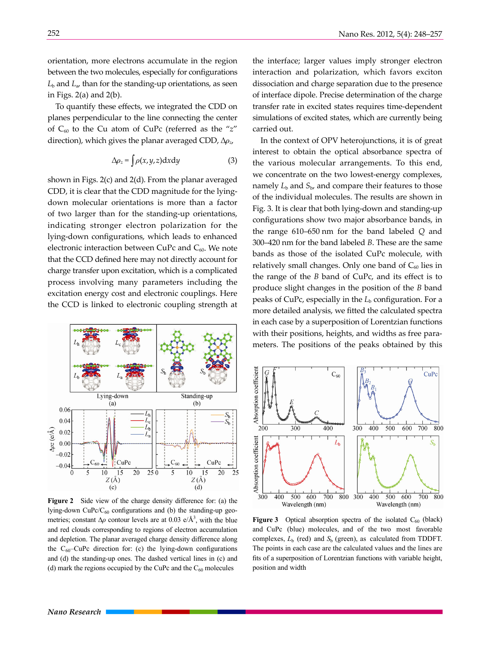orientation, more electrons accumulate in the region between the two molecules, especially for configurations  $L<sub>b</sub>$  and  $L<sub>a</sub>$ , than for the standing-up orientations, as seen in Figs.  $2(a)$  and  $2(b)$ .

To quantify these effects, we integrated the CDD on planes perpendicular to the line connecting the center of C60 to the Cu atom of CuPc (referred as the "*z*" direction), which gives the planar averaged CDD, ∆*ρz*,

$$
\Delta \rho_z = \int \rho(x, y, z) \, dx \, dy \tag{3}
$$

shown in Figs. 2(c) and 2(d). From the planar averaged CDD, it is clear that the CDD magnitude for the lyingdown molecular orientations is more than a factor of two larger than for the standing-up orientations, indicating stronger electron polarization for the lying-down configurations, which leads to enhanced electronic interaction between CuPc and  $C_{60}$ . We note that the CCD defined here may not directly account for charge transfer upon excitation, which is a complicated process involving many parameters including the excitation energy cost and electronic couplings. Here the CCD is linked to electronic coupling strength at



**Figure 2** Side view of the charge density difference for: (a) the lying-down  $CuPc/C_{60}$  configurations and (b) the standing-up geometries; constant  $\Delta \rho$  contour levels are at 0.03 e/Å<sup>3</sup>, with the blue and red clouds corresponding to regions of electron accumulation and depletion. The planar averaged charge density difference along the  $C_{60}$ -CuPc direction for: (c) the lying-down configurations and (d) the standing-up ones. The dashed vertical lines in (c) and (d) mark the regions occupied by the CuPc and the  $C_{60}$  molecules

the interface; larger values imply stronger electron interaction and polarization, which favors exciton dissociation and charge separation due to the presence of interface dipole. Precise determination of the charge transfer rate in excited states requires time-dependent simulations of excited states, which are currently being carried out.

In the context of OPV heterojunctions, it is of great interest to obtain the optical absorbance spectra of the various molecular arrangements. To this end, we concentrate on the two lowest-energy complexes, namely  $L<sub>b</sub>$  and  $S<sub>b</sub>$ , and compare their features to those of the individual molecules. The results are shown in Fig. 3. It is clear that both lying-down and standing-up configurations show two major absorbance bands, in the range 610–650 nm for the band labeled *Q* and 300–420 nm for the band labeled *B*. These are the same bands as those of the isolated CuPc molecule, with relatively small changes. Only one band of  $C_{60}$  lies in the range of the *B* band of CuPc, and its effect is to produce slight changes in the position of the *B* band peaks of CuPc, especially in the L<sub>b</sub> configuration. For a more detailed analysis, we fitted the calculated spectra in each case by a superposition of Lorentzian functions with their positions, heights, and widths as free parameters. The positions of the peaks obtained by this



**Figure 3** Optical absorption spectra of the isolated  $C_{60}$  (black) and CuPc (blue) molecules, and of the two most favorable complexes,  $L_b$  (red) and  $S_b$  (green), as calculated from TDDFT. The points in each case are the calculated values and the lines are fits of a superposition of Lorentzian functions with variable height, position and width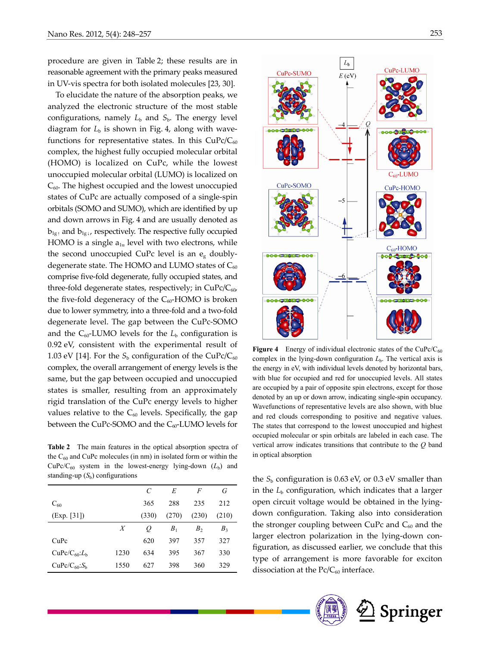procedure are given in Table 2; these results are in reasonable agreement with the primary peaks measured in UV-vis spectra for both isolated molecules [23, 30].

To elucidate the nature of the absorption peaks, we analyzed the electronic structure of the most stable configurations, namely  $L<sub>b</sub>$  and  $S<sub>b</sub>$ . The energy level diagram for  $L<sub>b</sub>$  is shown in Fig. 4, along with wavefunctions for representative states. In this  $CuPc/C_{60}$ complex, the highest fully occupied molecular orbital (HOMO) is localized on CuPc, while the lowest unoccupied molecular orbital (LUMO) is localized on  $C_{60}$ . The highest occupied and the lowest unoccupied states of CuPc are actually composed of a single-spin orbitals (SOMO and SUMO), which are identified by up and down arrows in Fig. 4 and are usually denoted as  $b_{1g}$  and  $b_{1g}$ , respectively. The respective fully occupied HOMO is a single  $a_{1u}$  level with two electrons, while the second unoccupied CuPc level is an  $e_{g}$  doublydegenerate state. The HOMO and LUMO states of  $C_{60}$ comprise five-fold degenerate, fully occupied states, and three-fold degenerate states, respectively; in  $CuPc/C_{60}$ , the five-fold degeneracy of the  $C_{60}$ -HOMO is broken due to lower symmetry, into a three-fold and a two-fold degenerate level. The gap between the CuPc-SOMO and the  $C_{60}$ -LUMO levels for the  $L_b$  configuration is 0.92 eV, consistent with the experimental result of 1.03 eV [14]. For the  $S_b$  configuration of the CuPc/C<sub>60</sub> complex, the overall arrangement of energy levels is the same, but the gap between occupied and unoccupied states is smaller, resulting from an approximately rigid translation of the CuPc energy levels to higher values relative to the  $C_{60}$  levels. Specifically, the gap between the CuPc-SOMO and the  $C_{60}$ -LUMO levels for

**Table 2** The main features in the optical absorption spectra of the  $C_{60}$  and CuPc molecules (in nm) in isolated form or within the  $CuPc/C<sub>60</sub>$  system in the lowest-energy lying-down  $(L_b)$  and standing-up  $(S_b)$  configurations

|                                      |      | C     | E              | F              | G     |
|--------------------------------------|------|-------|----------------|----------------|-------|
| $C_{60}$                             |      | 365   | 288            | 235            | 212   |
| (Exp. [31])                          |      | (330) | (270)          | (230)          | (210) |
|                                      | X    | Q     | B <sub>1</sub> | B <sub>2</sub> | $B_3$ |
| CuPc                                 |      | 620   | 397            | 357            | 327   |
| CuPc/C <sub>60</sub> :L <sub>b</sub> | 1230 | 634   | 395            | 367            | 330   |
| $CuPc/C_{60}:S_b$                    | 1550 | 627   | 398            | 360            | 329   |



Figure 4 Energy of individual electronic states of the CuPc/C<sub>60</sub> complex in the lying-down configuration  $L<sub>b</sub>$ . The vertical axis is the energy in eV, with individual levels denoted by horizontal bars, with blue for occupied and red for unoccupied levels. All states are occupied by a pair of opposite spin electrons, except for those denoted by an up or down arrow, indicating single-spin occupancy. Wavefunctions of representative levels are also shown, with blue and red clouds corresponding to positive and negative values. The states that correspond to the lowest unoccupied and highest occupied molecular or spin orbitals are labeled in each case. The vertical arrow indicates transitions that contribute to the *Q* band in optical absorption

the  $S<sub>b</sub>$  configuration is 0.63 eV, or 0.3 eV smaller than in the  $L<sub>b</sub>$  configuration, which indicates that a larger open circuit voltage would be obtained in the lyingdown configuration. Taking also into consideration the stronger coupling between CuPc and  $C_{60}$  and the larger electron polarization in the lying-down configuration, as discussed earlier, we conclude that this type of arrangement is more favorable for exciton dissociation at the  $Pc/C_{60}$  interface.



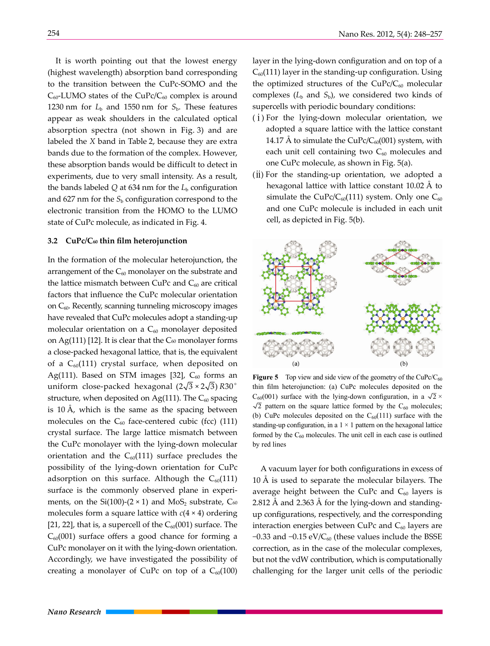It is worth pointing out that the lowest energy (highest wavelength) absorption band corresponding to the transition between the CuPc-SOMO and the  $C_{60}$ -LUMO states of the CuPc/ $C_{60}$  complex is around 1230 nm for  $L<sub>b</sub>$  and 1550 nm for  $S<sub>b</sub>$ . These features appear as weak shoulders in the calculated optical absorption spectra (not shown in Fig. 3) and are labeled the *X* band in Table 2, because they are extra bands due to the formation of the complex. However, these absorption bands would be difficult to detect in experiments, due to very small intensity. As a result, the bands labeled  $Q$  at 634 nm for the  $L<sub>b</sub>$  configuration and  $627$  nm for the  $S<sub>b</sub>$  configuration correspond to the electronic transition from the HOMO to the LUMO state of CuPc molecule, as indicated in Fig. 4.

#### **3.2 CuPc/C60 thin film heterojunction**

In the formation of the molecular heterojunction, the arrangement of the  $C_{60}$  monolayer on the substrate and the lattice mismatch between CuPc and  $C_{60}$  are critical factors that influence the CuPc molecular orientation on  $C_{60}$ . Recently, scanning tunneling microscopy images have revealed that CuPc molecules adopt a standing-up molecular orientation on a  $C_{60}$  monolayer deposited on Ag(111) [12]. It is clear that the  $C_{60}$  monolayer forms a close-packed hexagonal lattice, that is, the equivalent of a  $C_{60}(111)$  crystal surface, when deposited on Ag(111). Based on STM images [32],  $C_{60}$  forms an uniform close-packed hexagonal  $(2\sqrt{3} \times 2\sqrt{3})$  R30<sup>°</sup> structure, when deposited on Ag(111). The  $C_{60}$  spacing is 10 Å, which is the same as the spacing between molecules on the  $C_{60}$  face-centered cubic (fcc) (111) crystal surface. The large lattice mismatch between the CuPc monolayer with the lying-down molecular orientation and the  $C_{60}(111)$  surface precludes the possibility of the lying-down orientation for CuPc adsorption on this surface. Although the  $C_{60}(111)$ surface is the commonly observed plane in experiments, on the Si(100)-(2  $\times$  1) and MoS<sub>2</sub> substrate, C<sub>60</sub> molecules form a square lattice with *c*(4 × 4) ordering [21, 22], that is, a supercell of the  $C_{60}(001)$  surface. The  $C_{60}(001)$  surface offers a good chance for forming a CuPc monolayer on it with the lying-down orientation. Accordingly, we have investigated the possibility of creating a monolayer of CuPc on top of a  $C_{60}(100)$ 

layer in the lying-down configuration and on top of a  $C_{60}(111)$  layer in the standing-up configuration. Using the optimized structures of the  $CuPc/C_{60}$  molecular complexes  $(L_b$  and  $S_b)$ , we considered two kinds of supercells with periodic boundary conditions:

- $(i)$  For the lying-down molecular orientation, we adopted a square lattice with the lattice constant 14.17 Å to simulate the CuPc/C $_{60}(001)$  system, with each unit cell containing two  $C_{60}$  molecules and one CuPc molecule, as shown in Fig. 5(a).
- (ⅱ) For the standing-up orientation, we adopted a hexagonal lattice with lattice constant 10.02 Å to simulate the CuPc/C<sub>60</sub>(111) system. Only one C<sub>60</sub> and one CuPc molecule is included in each unit cell, as depicted in Fig. 5(b).



**Figure 5** Top view and side view of the geometry of the CuPc/ $C_{60}$ thin film heterojunction: (a) CuPc molecules deposited on the  $C_{60}(001)$  surface with the lying-down configuration, in a  $\sqrt{2} \times$  $\sqrt{2}$  pattern on the square lattice formed by the C<sub>60</sub> molecules; (b) CuPc molecules deposited on the  $C_{60}(111)$  surface with the standing-up configuration, in a  $1 \times 1$  pattern on the hexagonal lattice formed by the  $C_{60}$  molecules. The unit cell in each case is outlined by red lines

A vacuum layer for both configurations in excess of 10 Å is used to separate the molecular bilayers. The average height between the CuPc and  $C_{60}$  layers is 2.812 Å and 2.363 Å for the lying-down and standingup configurations, respectively, and the corresponding interaction energies between CuPc and  $C_{60}$  layers are −0.33 and −0.15 eV/ $C_{60}$  (these values include the BSSE correction, as in the case of the molecular complexes, but not the vdW contribution, which is computationally challenging for the larger unit cells of the periodic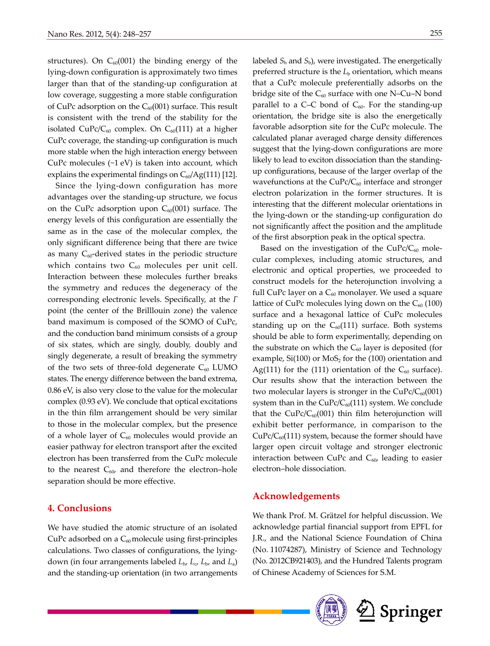structures). On  $C_{60}(001)$  the binding energy of the lying-down configuration is approximately two times larger than that of the standing-up configuration at low coverage, suggesting a more stable configuration of CuPc adsorption on the  $C_{60}(001)$  surface. This result is consistent with the trend of the stability for the isolated CuPc/ $C_{60}$  complex. On  $C_{60}(111)$  at a higher CuPc coverage, the standing-up configuration is much more stable when the high interaction energy between CuPc molecules  $(\sim 1 \text{ eV})$  is taken into account, which explains the experimental findings on  $C_{60}/Ag(111)$  [12].

Since the lying-down configuration has more advantages over the standing-up structure, we focus on the CuPc adsorption upon  $C_{60}(001)$  surface. The energy levels of this configuration are essentially the same as in the case of the molecular complex, the only significant difference being that there are twice as many  $C_{60}$ -derived states in the periodic structure which contains two  $C_{60}$  molecules per unit cell. Interaction between these molecules further breaks the symmetry and reduces the degeneracy of the corresponding electronic levels. Specifically, at the *Γ* point (the center of the Brilllouin zone) the valence band maximum is composed of the SOMO of CuPc, and the conduction band minimum consists of a group of six states, which are singly, doubly, doubly and singly degenerate, a result of breaking the symmetry of the two sets of three-fold degenerate  $C_{60}$  LUMO states. The energy difference between the band extrema, 0.86 eV, is also very close to the value for the molecular complex (0.93 eV). We conclude that optical excitations in the thin film arrangement should be very similar to those in the molecular complex, but the presence of a whole layer of  $C_{60}$  molecules would provide an easier pathway for electron transport after the excited electron has been transferred from the CuPc molecule to the nearest  $C_{60}$ , and therefore the electron-hole separation should be more effective.

# **4. Conclusions**

We have studied the atomic structure of an isolated CuPc adsorbed on a  $C_{60}$  molecule using first-principles calculations. Two classes of configurations, the lyingdown (in four arrangements labeled *L*h, *L*c, *L*b, and *L*a) and the standing-up orientation (in two arrangements labeled  $S_h$  and  $S_b$ ), were investigated. The energetically preferred structure is the *L*<sub>b</sub> orientation, which means that a CuPc molecule preferentially adsorbs on the bridge site of the  $C_{60}$  surface with one N–Cu–N bond parallel to a C–C bond of  $C_{60}$ . For the standing-up orientation, the bridge site is also the energetically favorable adsorption site for the CuPc molecule. The calculated planar averaged charge density differences suggest that the lying-down configurations are more likely to lead to exciton dissociation than the standingup configurations, because of the larger overlap of the wavefunctions at the  $CuPc/C_{60}$  interface and stronger electron polarization in the former structures. It is interesting that the different molecular orientations in the lying-down or the standing-up configuration do not significantly affect the position and the amplitude of the first absorption peak in the optical spectra.

Based on the investigation of the  $CuPc/C_{60}$  molecular complexes, including atomic structures, and electronic and optical properties, we proceeded to construct models for the heterojunction involving a full CuPc layer on a  $C_{60}$  monolayer. We used a square lattice of CuPc molecules lying down on the  $C_{60}$  (100) surface and a hexagonal lattice of CuPc molecules standing up on the  $C_{60}(111)$  surface. Both systems should be able to form experimentally, depending on the substrate on which the  $C_{60}$  layer is deposited (for example,  $Si(100)$  or  $MoS<sub>2</sub>$  for the (100) orientation and Ag(111) for the (111) orientation of the  $C_{60}$  surface). Our results show that the interaction between the two molecular layers is stronger in the  $CuPc/C_{60}(001)$ system than in the CuPc/C $_{60}(111)$  system. We conclude that the  $CuPc/C<sub>60</sub>(001)$  thin film heterojunction will exhibit better performance, in comparison to the  $CuPc/C<sub>60</sub>(111)$  system, because the former should have larger open circuit voltage and stronger electronic interaction between CuPc and  $C_{60}$ , leading to easier electron–hole dissociation.

### **Acknowledgements**

We thank Prof. M. Grätzel for helpful discussion. We acknowledge partial financial support from EPFL for J.R., and the National Science Foundation of China (No. 11074287), Ministry of Science and Technology (No. 2012CB921403), and the Hundred Talents program of Chinese Academy of Sciences for S.M.

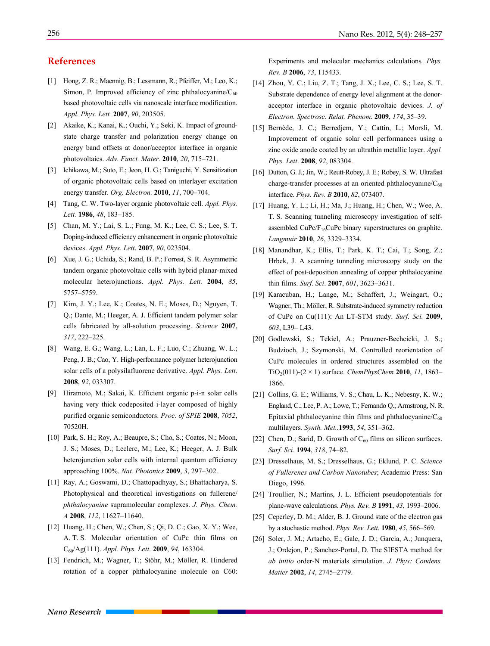## **References**

- [1] Hong, Z. R.; Maennig, B.; Lessmann, R.; Pfeiffer, M.; Leo, K.; Simon, P. Improved efficiency of zinc phthalocyanine/ $C_{60}$ based photovoltaic cells via nanoscale interface modification. *Appl. Phys. Lett.* **2007**, *90*, 203505.
- [2] Akaike, K.; Kanai, K.; Ouchi, Y.; Seki, K. Impact of groundstate charge transfer and polarization energy change on energy band offsets at donor/acceptor interface in organic photovoltaics. *Adv. Funct. Mater.* **2010**, *20*, 715–721.
- [3] Ichikawa, M.; Suto, E.; Jeon, H. G.; Taniguchi, Y. Sensitization of organic photovoltaic cells based on interlayer excitation energy transfer. *Org. Electron.* **2010**, *11*, 700–704.
- [4] Tang, C. W. Two-layer organic photovoltaic cell. *Appl. Phys. Lett.* **1986**, *48*, 183–185.
- [5] Chan, M. Y.; Lai, S. L.; Fung, M. K.; Lee, C. S.; Lee, S. T. Doping-induced efficiency enhancement in organic photovoltaic devices. *Appl. Phys. Lett*. **2007**, *90*, 023504.
- [6] Xue, J. G.; Uchida, S.; Rand, B. P.; Forrest, S. R. Asymmetric tandem organic photovoltaic cells with hybrid planar-mixed molecular heterojunctions. *Appl. Phys. Lett.* **2004**, *85*, 5757–5759.
- [7] Kim, J. Y.; Lee, K.; Coates, N. E.; Moses, D.; Nguyen, T. Q.; Dante, M.; Heeger, A. J. Efficient tandem polymer solar cells fabricated by all-solution processing. *Science* **2007**, *317*, 222–225.
- [8] Wang, E. G.; Wang, L.; Lan, L. F.; Luo, C.; Zhuang, W. L.; Peng, J. B.; Cao, Y. High-performance polymer heterojunction solar cells of a polysilafluorene derivative. *Appl. Phys. Lett*. **2008**, *92*, 033307.
- [9] Hiramoto, M.; Sakai, K. Efficient organic p-i-n solar cells having very thick codeposited i-layer composed of highly purified organic semiconductors. *Proc. of SPIE* **2008**, *7052*, 70520H.
- [10] Park, S. H.; Roy, A.; Beaupre, S.; Cho, S.; Coates, N.; Moon, J. S.; Moses, D.; Leclerc, M.; Lee, K.; Heeger, A. J. Bulk heterojunction solar cells with internal quantum efficiency approaching 100%. *Nat. Photonics* **2009**, *3*, 297–302.
- [11] Ray, A.; Goswami, D.; Chattopadhyay, S.; Bhattacharya, S. Photophysical and theoretical investigations on fullerene/ *phthalocyanine* supramolecular complexes. *J. Phys. Chem. A* **2008**, *112*, 11627–11640.
- [12] Huang, H.; Chen, W.; Chen, S.; Qi, D. C.; Gao, X. Y.; Wee, A. T. S. Molecular orientation of CuPc thin films on C60/Ag(111). *Appl. Phys. Lett*. **2009**, *94*, 163304.
- [13] Fendrich, M.; Wagner, T.; Stöhr, M.; Möller, R. Hindered rotation of a copper phthalocyanine molecule on C60:

Experiments and molecular mechanics calculations*. Phys. Rev. B* **2006**, *73*, 115433.

- [14] Zhou, Y. C.; Liu, Z. T.; Tang, J. X.; Lee, C. S.; Lee, S. T. Substrate dependence of energy level alignment at the donoracceptor interface in organic photovoltaic devices. *J. of Electron. Spectrosc. Relat. Phenom*. **2009**, *174*, 35–39.
- [15] Bernède, J. C.; Berredjem, Y.; Cattin, L.; Morsli, M. Improvement of organic solar cell performances using a zinc oxide anode coated by an ultrathin metallic layer. *Appl. Phys. Lett*. **2008**, *92*, 083304.
- [16] Dutton, G. J.; Jin, W.; Reutt-Robey, J. E.; Robey, S. W. Ultrafast charge-transfer processes at an oriented phthalocyanine/ $C_{60}$ interface. *Phys. Rev. B* **2010**, *82*, 073407.
- [17] Huang, Y. L.; Li, H.; Ma, J.; Huang, H.; Chen, W.; Wee, A. T. S. Scanning tunneling microscopy investigation of selfassembled  $CuPc/F<sub>16</sub>CuPc$  binary superstructures on graphite. *Langmuir* **2010**, *26*, 3329–3334.
- [18] Manandhar, K.; Ellis, T.; Park, K. T.; Cai, T.; Song, Z.; Hrbek, J. A scanning tunneling microscopy study on the effect of post-deposition annealing of copper phthalocyanine thin films. *Surf. Sci*. **2007**, *601*, 3623–3631.
- [19] Karacuban, H.; Lange, M.; Schaffert, J.; Weingart, O.; Wagner, Th.; Möller, R. Substrate-induced symmetry reduction of CuPc on Cu(111): An LT-STM study. *Surf. Sci.* **2009**, *603*, L39– L43.
- [20] Godlewski, S.; Tekiel, A.; Prauzner-Bechcicki, J. S.; Budzioch, J.; Szymonski, M. Controlled reorientation of CuPc molecules in ordered structures assembled on the TiO<sub>2</sub>(011)-(2 × 1) surface. *ChemPhysChem* **2010**, *11*, 1863– 1866.
- [21] Collins, G. E.; Williams, V. S.; Chau, L. K.; Nebesny, K. W.; England, C.; Lee, P. A.; Lowe, T.; Fernando Q.; Armstrong, N. R. Epitaxial phthalocyanine thin films and phthalocyanine/ $C_{60}$ multilayers. *Synth. Met..***1993**, *54*, 351–362.
- [22] Chen, D.; Sarid, D. Growth of  $C_{60}$  films on silicon surfaces. *Surf. Sci.* **1994**, *318*, 74–82.
- [23] Dresselhaus, M. S.; Dresselhaus, G.; Eklund, P. C. *Science of Fullerenes and Carbon Nanotubes*; Academic Press: San Diego, 1996.
- [24] Troullier, N.; Martins, J. L. Efficient pseudopotentials for plane-wave calculations. *Phys. Rev. B* **1991**, *43*, 1993–2006.
- [25] Ceperley, D. M.; Alder, B. J. Ground state of the electron gas by a stochastic method. *Phys. Rev. Lett*. **1980**, *45*, 566–569.
- [26] Soler, J. M.; Artacho, E.; Gale, J. D.; Garcia, A.; Junquera, J.; Ordejon, P.; Sanchez-Portal, D. The SIESTA method for *ab initio* order-N materials simulation. *J. Phys: Condens. Matter* **2002**, *14*, 2745–2779.